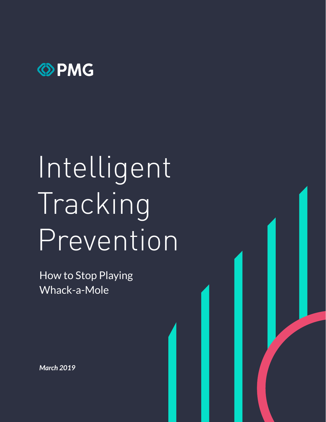

# Intelligent Tracking Prevention

How to Stop Playing Whack-a-Mole

*March 2019*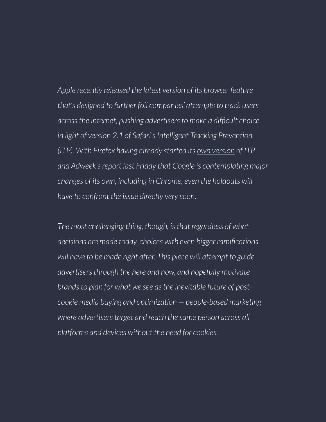*Apple recently released the latest version of its browser feature that's designed to further foil companies' attempts to track users across the internet, pushing advertisers to make a difficult choice in light of version 2.1 of Safari's Intelligent Tracking Prevention (ITP). With Firefox having already started its own version of ITP and Adweek's report last Friday that Google is contemplating major changes of its own, including in Chrome, even the holdouts will have to confront the issue directly very soon.*

*The most challenging thing, though, is that regardless of what decisions are made today, choices with even bigger ramifications will have to be made right after. This piece will attempt to guide advertisers through the here and now, and hopefully motivate brands to plan for what we see as the inevitable future of postcookie media buying and optimization — people-based marketing where advertisers target and reach the same person across all platforms and devices without the need for cookies.*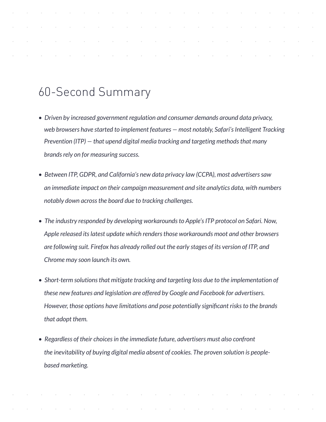# 60-Second Summary

- *Driven by increased government regulation and consumer demands around data privacy, web browsers have started to implement features — most notably, Safari's Intelligent Tracking Prevention (ITP) — that upend digital media tracking and targeting methods that many brands rely on for measuring success.*
- *Between ITP, GDPR, and California's new data privacy law (CCPA), most advertisers saw an immediate impact on their campaign measurement and site analytics data, with numbers notably down across the board due to tracking challenges.*
- *The industry responded by developing workarounds to Apple's ITP protocol on Safari. Now, Apple released its latest update which renders those workarounds moot and other browsers are following suit. Firefox has already rolled out the early stages of its version of ITP, and Chrome may soon launch its own.*
- *Short-term solutions that mitigate tracking and targeting loss due to the implementation of these new features and legislation are offered by Google and Facebook for advertisers. However, those options have limitations and pose potentially significant risks to the brands that adopt them.*
- *Regardless of their choices in the immediate future, advertisers must also confront the inevitability of buying digital media absent of cookies. The proven solution is peoplebased marketing.*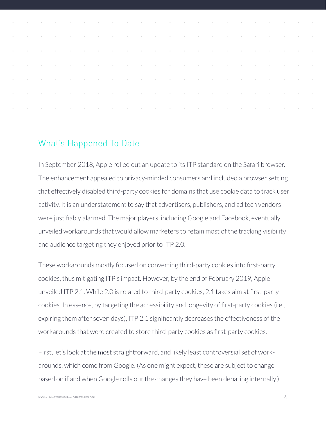| the contract of the contract of the contract of the contract of the contract of the contract of the contract of |  |  |  |  |  |  |  |  |  |  |
|-----------------------------------------------------------------------------------------------------------------|--|--|--|--|--|--|--|--|--|--|
| the contract of the contract of the contract of the contract of the contract of the contract of the contract of |  |  |  |  |  |  |  |  |  |  |
| the contract of the contract of the contract of the contract of the contract of the contract of the contract of |  |  |  |  |  |  |  |  |  |  |
|                                                                                                                 |  |  |  |  |  |  |  |  |  |  |

# What's Happened To Date

In September 2018, Apple rolled out an update to its ITP standard on the Safari browser. The enhancement appealed to privacy-minded consumers and included a browser setting that effectively disabled third-party cookies for domains that use cookie data to track user activity. It is an understatement to say that advertisers, publishers, and ad tech vendors were justifiably alarmed. The major players, including Google and Facebook, eventually unveiled workarounds that would allow marketers to retain most of the tracking visibility and audience targeting they enjoyed prior to ITP 2.0.

These workarounds mostly focused on converting third-party cookies into first-party cookies, thus mitigating ITP's impact. However, by the end of February 2019, Apple unveiled ITP 2.1. While 2.0 is related to third-party cookies, 2.1 takes aim at first-party cookies. In essence, by targeting the accessibility and longevity of first-party cookies (i.e., expiring them after seven days), ITP 2.1 significantly decreases the effectiveness of the workarounds that were created to store third-party cookies as first-party cookies.

First, let's look at the most straightforward, and likely least controversial set of workarounds, which come from Google. (As one might expect, these are subject to change based on if and when Google rolls out the changes they have been debating internally.)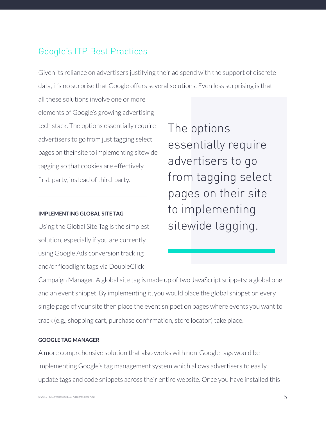# Google's ITP Best Practices

Given its reliance on advertisers justifying their ad spend with the support of discrete data, it's no surprise that Google offers several solutions. Even less surprising is that

all these solutions involve one or more elements of Google's growing advertising tech stack. The options essentially require advertisers to go from just tagging select pages on their site to implementing sitewide tagging so that cookies are effectively first-party, instead of third-party.

### **IMPLEMENTING GLOBAL SITE TAG**

Using the Global Site Tag is the simplest solution, especially if you are currently using Google Ads conversion tracking and/or floodlight tags via DoubleClick

The options essentially require advertisers to go from tagging select pages on their site to implementing sitewide tagging.

Campaign Manager. A global site tag is made up of two JavaScript snippets: a global one and an event snippet. By implementing it, you would place the global snippet on every single page of your site then place the event snippet on pages where events you want to track (e.g., shopping cart, purchase confirmation, store locator) take place.

#### **GOOGLE TAG MANAGER**

A more comprehensive solution that also works with non-Google tags would be implementing Google's tag management system which allows advertisers to easily update tags and code snippets across their entire website. Once you have installed this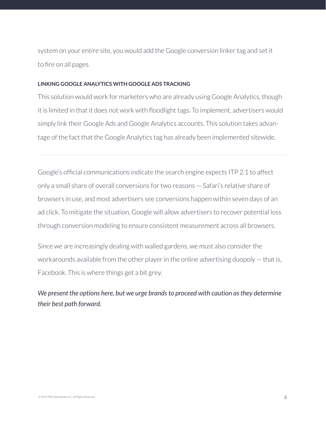system on your entire site, you would add the Google conversion linker tag and set it to fire on all pages.

#### **LINKING GOOGLE ANALYTICS WITH GOOGLE ADS TRACKING**

This solution would work for marketers who are already using Google Analytics, though it is limited in that it does not work with floodlight tags. To implement, advertisers would simply link their Google Ads and Google Analytics accounts. This solution takes advantage of the fact that the Google Analytics tag has already been implemented sitewide.

Google's official communications indicate the search engine expects ITP 2.1 to affect only a small share of overall conversions for two reasons — Safari's relative share of browsers in use, and most advertisers see conversions happen within seven days of an ad click. To mitigate the situation, Google will allow advertisers to recover potential loss through conversion modeling to ensure consistent measurement across all browsers.

Since we are increasingly dealing with walled gardens, we must also consider the workarounds available from the other player in the online advertising duopoly — that is, Facebook. This is where things get a bit grey.

### *We present the options here, but we urge brands to proceed with caution as they determine their best path forward.*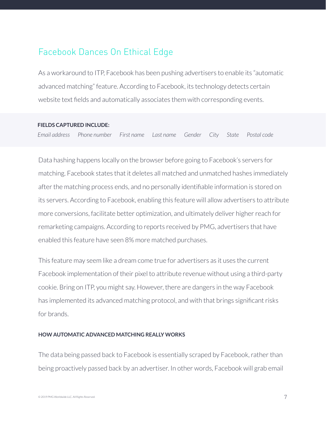# Facebook Dances On Ethical Edge

As a workaround to ITP, Facebook has been pushing advertisers to enable its "automatic advanced matching" feature. According to Facebook, its technology detects certain website text fields and automatically associates them with corresponding events.

#### **FIELDS CAPTURED INCLUDE:**

*Email address Phone number First name Last name Gender City State Postal code*

Data hashing happens locally on the browser before going to Facebook's servers for matching. Facebook states that it deletes all matched and unmatched hashes immediately after the matching process ends, and no personally identifiable information is stored on its servers. According to Facebook, enabling this feature will allow advertisers to attribute more conversions, facilitate better optimization, and ultimately deliver higher reach for remarketing campaigns. According to reports received by PMG, advertisers that have enabled this feature have seen 8% more matched purchases.

This feature may seem like a dream come true for advertisers as it uses the current Facebook implementation of their pixel to attribute revenue without using a third-party cookie. Bring on ITP, you might say. However, there are dangers in the way Facebook has implemented its advanced matching protocol, and with that brings significant risks for brands.

#### **HOW AUTOMATIC ADVANCED MATCHING REALLY WORKS**

The data being passed back to Facebook is essentially scraped by Facebook, rather than being proactively passed back by an advertiser. In other words, Facebook will grab email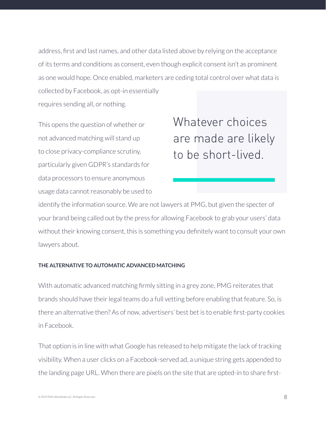address, first and last names, and other data listed above by relying on the acceptance of its terms and conditions as consent, even though explicit consent isn't as prominent as one would hope. Once enabled, marketers are ceding total control over what data is collected by Facebook, as opt-in essentially requires sending all, or nothing.

This opens the question of whether or not advanced matching will stand up to close privacy-compliance scrutiny, particularly given GDPR's standards for data processors to ensure anonymous usage data cannot reasonably be used to Whatever choices are made are likely to be short-lived.

identify the information source. We are not lawyers at PMG, but given the specter of your brand being called out by the press for allowing Facebook to grab your users' data without their knowing consent, this is something you definitely want to consult your own lawyers about.

### **THE ALTERNATIVE TO AUTOMATIC ADVANCED MATCHING**

With automatic advanced matching firmly sitting in a grey zone, PMG reiterates that brands should have their legal teams do a full vetting before enabling that feature. So, is there an alternative then? As of now, advertisers' best bet is to enable first-party cookies in Facebook.

That option is in line with what Google has released to help mitigate the lack of tracking visibility. When a user clicks on a Facebook-served ad, a unique string gets appended to the landing page URL. When there are pixels on the site that are opted-in to share first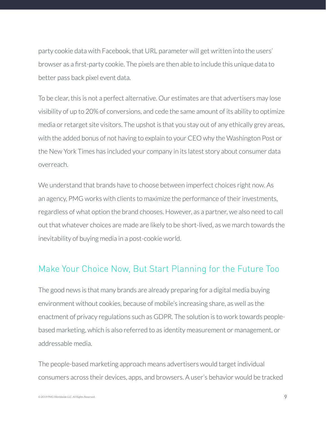party cookie data with Facebook, that URL parameter will get written into the users' browser as a first-party cookie. The pixels are then able to include this unique data to better pass back pixel event data.

To be clear, this is not a perfect alternative. Our estimates are that advertisers may lose visibility of up to 20% of conversions, and cede the same amount of its ability to optimize media or retarget site visitors. The upshot is that you stay out of any ethically grey areas, with the added bonus of not having to explain to your CEO why the Washington Post or the New York Times has included your company in its latest story about consumer data overreach.

We understand that brands have to choose between imperfect choices right now. As an agency, PMG works with clients to maximize the performance of their investments, regardless of what option the brand chooses. However, as a partner, we also need to call out that whatever choices are made are likely to be short-lived, as we march towards the inevitability of buying media in a post-cookie world.

# Make Your Choice Now, But Start Planning for the Future Too

The good news is that many brands are already preparing for a digital media buying environment without cookies, because of mobile's increasing share, as well as the enactment of privacy regulations such as GDPR. The solution is to work towards peoplebased marketing, which is also referred to as identity measurement or management, or addressable media.

The people-based marketing approach means advertisers would target individual consumers across their devices, apps, and browsers. A user's behavior would be tracked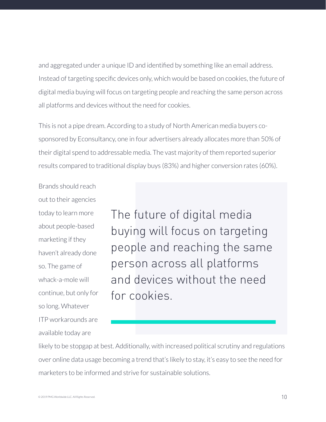and aggregated under a unique ID and identified by something like an email address. Instead of targeting specific devices only, which would be based on cookies, the future of digital media buying will focus on targeting people and reaching the same person across all platforms and devices without the need for cookies.

This is not a pipe dream. According to a study of North American media buyers cosponsored by Econsultancy, one in four advertisers already allocates more than 50% of their digital spend to addressable media. The vast majority of them reported superior results compared to traditional display buys (83%) and higher conversion rates (60%).

Brands should reach out to their agencies today to learn more about people-based marketing if they haven't already done so. The game of whack-a-mole will continue, but only for so long. Whatever ITP workarounds are available today are

The future of digital media buying will focus on targeting people and reaching the same person across all platforms and devices without the need for cookies.

likely to be stopgap at best. Additionally, with increased political scrutiny and regulations over online data usage becoming a trend that's likely to stay, it's easy to see the need for marketers to be informed and strive for sustainable solutions.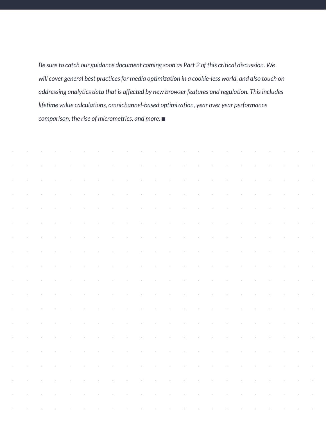*Be sure to catch our guidance document coming soon as Part 2 of this critical discussion. We will cover general best practices for media optimization in a cookie-less world, and also touch on addressing analytics data that is affected by new browser features and regulation. This includes lifetime value calculations, omnichannel-based optimization, year over year performance comparison, the rise of micrometrics, and more.* ■

|                      |                      |  |                |                  |                   |                  |                        |                                                                 |                        |                                              |                     |                 |                          |                         |                |                                                                                                                                                                                                                                                                                                                                                                                                                                                           | والمتعادل والمتعاون والمتعاون والمتعاون والمتعاون والمتعاون والمتعاون والمتعاون والمتعاون والمتعاون والمتعاون |                 |
|----------------------|----------------------|--|----------------|------------------|-------------------|------------------|------------------------|-----------------------------------------------------------------|------------------------|----------------------------------------------|---------------------|-----------------|--------------------------|-------------------------|----------------|-----------------------------------------------------------------------------------------------------------------------------------------------------------------------------------------------------------------------------------------------------------------------------------------------------------------------------------------------------------------------------------------------------------------------------------------------------------|---------------------------------------------------------------------------------------------------------------|-----------------|
| $\sim$               |                      |  |                |                  | $\sim 10^{-1}$    | $\sim$ 100 $\pm$ | $\sim 10^{-1}$         |                                                                 |                        | the control of the control of the control of |                     |                 |                          | and the control of the  | $\sim 10^{-1}$ |                                                                                                                                                                                                                                                                                                                                                                                                                                                           |                                                                                                               | $\sim$          |
| $\sim$ $\sim$        |                      |  | $\sim 10^{-1}$ | $\sim 10^{-1}$   | <b>Contractor</b> | $\sim 10^{-10}$  |                        | the control of the control of the control of the control of     |                        |                                              |                     |                 |                          | the company of the com- | $\sim 100$     | $\sim 10^{-11}$                                                                                                                                                                                                                                                                                                                                                                                                                                           |                                                                                                               | $\sim$          |
| $\sim$ $\sim$        |                      |  |                | $\sim 100$       | $\sim 100$        | $\sim 100$       |                        | the contract of the contract of the contract of the contract of |                        |                                              |                     |                 |                          |                         | $\sim 10^{-1}$ | and the control of                                                                                                                                                                                                                                                                                                                                                                                                                                        |                                                                                                               | $\sim 10$       |
| $\sim$ $\sim$        |                      |  | $\sim$ 10 $\,$ | $\sim 10^{-1}$   | $\sim 10^{-1}$    | $\sim 100$       | $\sim 10^{-1}$         | $\sim 100$                                                      |                        | the contract of the contract of the          |                     |                 | $\sim 10^{11}$ m $^{-1}$ | $\sim 100$              | $\sim 10^{-1}$ | $\sim 10^{11}$ km s $^{-1}$ km s $^{-1}$                                                                                                                                                                                                                                                                                                                                                                                                                  |                                                                                                               | $\sim$ 10 $\mu$ |
| $\sim$ $\sim$        |                      |  | $\sim$         | $\sim 10^{-1}$   | $\sim 100$        | $\sim 10^{-10}$  | and the control of the |                                                                 |                        | the contract of the contract of the          |                     |                 | <b>Contractor</b>        | $\sim 100$              | $\sim 10^{-1}$ | and the control of the                                                                                                                                                                                                                                                                                                                                                                                                                                    |                                                                                                               | $\sim 10$       |
| $\sim$ 10 $^{\circ}$ |                      |  | $\sim$ 10 $\,$ | $\sim 100$       | $\sim 100$        | $\sim 10^{-10}$  | and the contract of    |                                                                 |                        | the contract of the contract of the          |                     |                 | $\sim 10^{-10}$          | $\sim$                  | $\sim$         | $\mathcal{L}^{\mathcal{L}}(\mathcal{L}^{\mathcal{L}}(\mathcal{L}^{\mathcal{L}}(\mathcal{L}^{\mathcal{L}}(\mathcal{L}^{\mathcal{L}}(\mathcal{L}^{\mathcal{L}}(\mathcal{L}^{\mathcal{L}}(\mathcal{L}^{\mathcal{L}}(\mathcal{L}^{\mathcal{L}}(\mathcal{L}^{\mathcal{L}}(\mathcal{L}^{\mathcal{L}}(\mathcal{L}^{\mathcal{L}}(\mathcal{L}^{\mathcal{L}}(\mathcal{L}^{\mathcal{L}}(\mathcal{L}^{\mathcal{L}}(\mathcal{L}^{\mathcal{L}}(\mathcal{L}^{\mathcal{L$ |                                                                                                               | $\sim$ 10 $\mu$ |
| $\sim$ $\sim$        |                      |  | $\sim$         | $\sim 100$       |                   |                  |                        | the contract of the contract of the contract of the contract of |                        |                                              |                     |                 | and the state            | $\sim$                  | $\sim$         |                                                                                                                                                                                                                                                                                                                                                                                                                                                           | and a strategic con-                                                                                          |                 |
| $\sim$               |                      |  | $\sim$         | $\sim$ 100 $\mu$ | $\sim 10^{-11}$   | $\sim 10^{-10}$  | and the control of     |                                                                 | and the control of the |                                              | and the contract of |                 | <b>Contractor</b>        | $\sim$                  | $\sim$         | and the contract of                                                                                                                                                                                                                                                                                                                                                                                                                                       |                                                                                                               | $\sim 10$       |
| $\sim$               |                      |  | $\sim$         |                  | $\sim$            |                  | $\sim$                 | $\sim 100$                                                      | $\sim 10^{-1}$         | $\sim$                                       | $\sim 10^{-1}$      | $\sim 10^{-10}$ | $\sim 10^{-1}$           | $\sim$                  | $\sim$         | and the control of                                                                                                                                                                                                                                                                                                                                                                                                                                        |                                                                                                               | $\sim$ 10 $\mu$ |
| $\sim$               |                      |  |                |                  | $\sim$            | $\sim$           | $\sim$                 | $\sim 100$                                                      | $\sim$                 | $\sim$                                       | $\sim 10^{-1}$      | $\sim$          | $\sim 10^{-1}$           | $\sim$                  | $\sim$         | and the control of                                                                                                                                                                                                                                                                                                                                                                                                                                        |                                                                                                               | $\sim$ $\sim$   |
| $\sim$               |                      |  |                |                  | $\sim$            |                  | $\sim$                 | $\sim$                                                          | $\sim$                 | $\sim$                                       | $\sim 10^{-1}$      | $\sim$          | $\sim 100$               | $\sim$                  | $\sim$         | and the control of                                                                                                                                                                                                                                                                                                                                                                                                                                        |                                                                                                               | $\sim$ $\sim$   |
| $\sim$ 10 $^{\circ}$ |                      |  |                |                  | $\sim$            | and a state      | $\sim 10^{-11}$        | $\sim 100$                                                      | $\sim 10^{-11}$        | $\sim 100$                                   | <b>Contractor</b>   | $\sim$          | $\sim 10^{-10}$          | $\sim$                  | $\sim$         | and the control of                                                                                                                                                                                                                                                                                                                                                                                                                                        |                                                                                                               | $\sim$          |
| $\sim$ 10 $^{\circ}$ |                      |  |                |                  | $\sim$            | $\sim$           | $\sim$                 | $\sim 100$                                                      | $\alpha$ .             | $\sim$                                       | <b>Contractor</b>   | $\sim$          | $\sim 10^{-10}$          | $\sim$                  | $\sim$         | and the control of                                                                                                                                                                                                                                                                                                                                                                                                                                        |                                                                                                               | $\sim$          |
| $\sim$ $\sim$        |                      |  |                |                  | $\sim$            | $\sim$           | $\sim$                 | $\sim$ 100 $\mu$                                                | $\sim 10^{-1}$         | $\sim$                                       | $\sim 10^{-1}$      | $\sim$          | $\sim 10^{-1}$           |                         |                | $\sim 10^{-1}$                                                                                                                                                                                                                                                                                                                                                                                                                                            | $\sim 100$                                                                                                    | $\sim$          |
| $\sim$               |                      |  |                |                  | $\sim$            | $\sim$           | $\sim$                 | $\sim$                                                          | $\sim$                 | $\sim$                                       | $\sim$              | $\sim$          | $\sim$                   |                         |                | $\sim 10^{-1}$                                                                                                                                                                                                                                                                                                                                                                                                                                            | $\sim 10^{-1}$                                                                                                | $\sim$          |
| $\sim$ $\sim$        |                      |  |                |                  |                   |                  | $\sim$                 |                                                                 |                        |                                              | $\sim$              |                 |                          |                         |                |                                                                                                                                                                                                                                                                                                                                                                                                                                                           |                                                                                                               | $\sim$          |
| $\sim$ $\sim$        |                      |  |                |                  |                   |                  |                        |                                                                 |                        |                                              |                     |                 |                          |                         |                |                                                                                                                                                                                                                                                                                                                                                                                                                                                           |                                                                                                               | $\sim$          |
|                      | and the state of the |  |                |                  |                   |                  |                        |                                                                 |                        |                                              |                     |                 |                          |                         |                |                                                                                                                                                                                                                                                                                                                                                                                                                                                           | والمستحقق والمستحق والمستحق والمستحقق والمستحق والمستحق والمستحق والمستحق والمستحق والمستحق والمستحق          |                 |